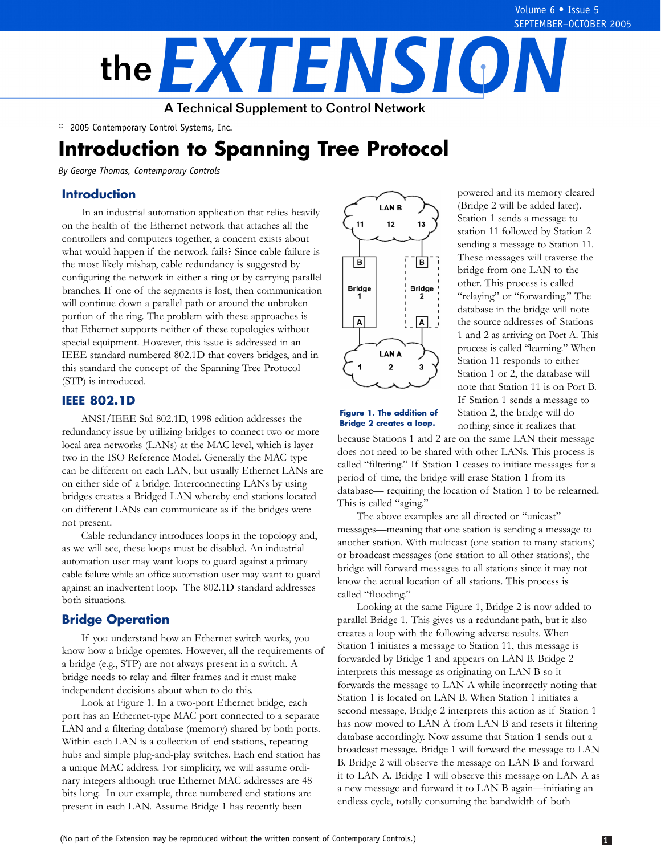

© 2005 Contemporary Control Systems, Inc.

# **Introduction to Spanning Tree Protocol**

*By George Thomas, Contemporary Controls* 

### **Introduction**

In an industrial automation application that relies heavily on the health of the Ethernet network that attaches all the controllers and computers together, a concern exists about what would happen if the network fails? Since cable failure is the most likely mishap, cable redundancy is suggested by configuring the network in either a ring or by carrying parallel branches. If one of the segments is lost, then communication will continue down a parallel path or around the unbroken portion of the ring. The problem with these approaches is that Ethernet supports neither of these topologies without special equipment. However, this issue is addressed in an IEEE standard numbered 802.1D that covers bridges, and in this standard the concept of the Spanning Tree Protocol (STP) is introduced.

#### **IEEE 802.1D**

ANSI/IEEE Std 802.1D, 1998 edition addresses the redundancy issue by utilizing bridges to connect two or more local area networks (LANs) at the MAC level, which is layer two in the ISO Reference Model. Generally the MAC type can be different on each LAN, but usually Ethernet LANs are on either side of a bridge. Interconnecting LANs by using bridges creates a Bridged LAN whereby end stations located on different LANs can communicate as if the bridges were not present.

Cable redundancy introduces loops in the topology and, as we will see, these loops must be disabled. An industrial automation user may want loops to guard against a primary cable failure while an office automation user may want to guard against an inadvertent loop. The 802.1D standard addresses both situations.

#### **Bridge Operation**

If you understand how an Ethernet switch works, you know how a bridge operates. However, all the requirements of a bridge (e.g., STP) are not always present in a switch. A bridge needs to relay and filter frames and it must make independent decisions about when to do this.

Look at Figure 1. In a two-port Ethernet bridge, each port has an Ethernet-type MAC port connected to a separate LAN and a filtering database (memory) shared by both ports. Within each LAN is a collection of end stations, repeating hubs and simple plug-and-play switches. Each end station has a unique MAC address. For simplicity, we will assume ordinary integers although true Ethernet MAC addresses are 48 bits long. In our example, three numbered end stations are present in each LAN. Assume Bridge 1 has recently been



powered and its memory cleared (Bridge 2 will be added later). Station 1 sends a message to station 11 followed by Station 2 sending a message to Station 11. These messages will traverse the bridge from one LAN to the other. This process is called "relaying" or "forwarding." The database in the bridge will note the source addresses of Stations 1 and 2 as arriving on Port A. This process is called "learning." When Station 11 responds to either Station 1 or 2, the database will note that Station 11 is on Port B. If Station 1 sends a message to **Figure 1. The addition of** Station 2, the bridge will do **Bridge 2 creates a loop.** nothing since it realizes that nothing since it realizes that

because Stations 1 and 2 are on the same LAN their message does not need to be shared with other LANs. This process is called "filtering." If Station 1 ceases to initiate messages for a period of time, the bridge will erase Station 1 from its database— requiring the location of Station 1 to be relearned. This is called "aging."

The above examples are all directed or "unicast" messages—meaning that one station is sending a message to another station. With multicast (one station to many stations) or broadcast messages (one station to all other stations), the bridge will forward messages to all stations since it may not know the actual location of all stations. This process is called "flooding."

Looking at the same Figure 1, Bridge 2 is now added to parallel Bridge 1. This gives us a redundant path, but it also creates a loop with the following adverse results. When Station 1 initiates a message to Station 11, this message is forwarded by Bridge 1 and appears on LAN B. Bridge 2 interprets this message as originating on LAN B so it forwards the message to LAN A while incorrectly noting that Station 1 is located on LAN B. When Station 1 initiates a second message, Bridge 2 interprets this action as if Station 1 has now moved to LAN A from LAN B and resets it filtering database accordingly. Now assume that Station 1 sends out a broadcast message. Bridge 1 will forward the message to LAN B. Bridge 2 will observe the message on LAN B and forward it to LAN A. Bridge 1 will observe this message on LAN A as a new message and forward it to LAN B again—initiating an endless cycle, totally consuming the bandwidth of both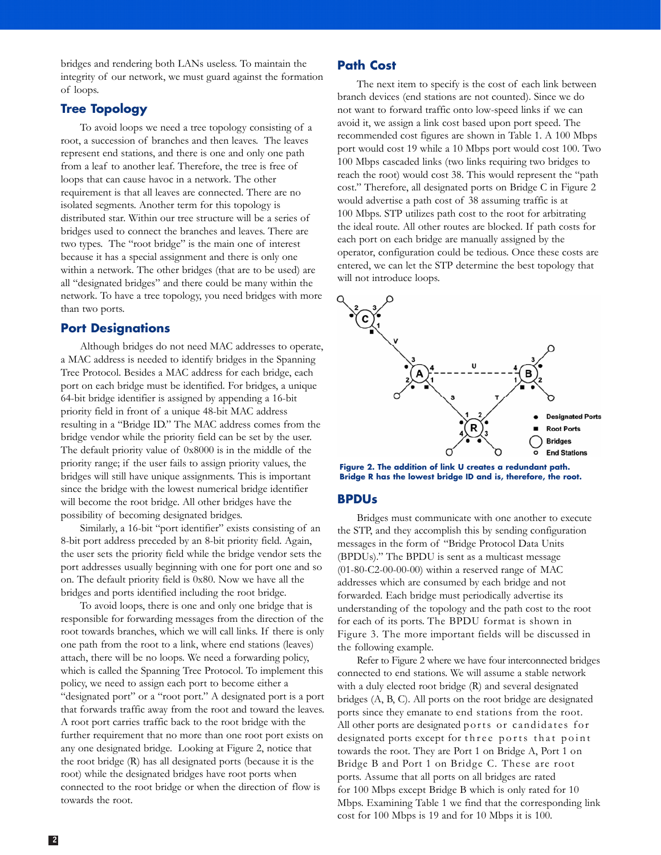bridges and rendering both LANs useless. To maintain the integrity of our network, we must guard against the formation of loops.

# **Tree Topology**

To avoid loops we need a tree topology consisting of a root, a succession of branches and then leaves. The leaves represent end stations, and there is one and only one path from a leaf to another leaf. Therefore, the tree is free of loops that can cause havoc in a network. The other requirement is that all leaves are connected. There are no isolated segments. Another term for this topology is distributed star. Within our tree structure will be a series of bridges used to connect the branches and leaves. There are two types. The "root bridge" is the main one of interest because it has a special assignment and there is only one within a network. The other bridges (that are to be used) are all "designated bridges" and there could be many within the network. To have a tree topology, you need bridges with more than two ports.

#### **Port Designations**

Although bridges do not need MAC addresses to operate, a MAC address is needed to identify bridges in the Spanning Tree Protocol. Besides a MAC address for each bridge, each port on each bridge must be identified. For bridges, a unique 64-bit bridge identifier is assigned by appending a 16-bit priority field in front of a unique 48-bit MAC address resulting in a "Bridge ID." The MAC address comes from the bridge vendor while the priority field can be set by the user. The default priority value of 0x8000 is in the middle of the priority range; if the user fails to assign priority values, the bridges will still have unique assignments. This is important since the bridge with the lowest numerical bridge identifier will become the root bridge. All other bridges have the possibility of becoming designated bridges.

Similarly, a 16-bit "port identifier" exists consisting of an 8-bit port address preceded by an 8-bit priority field. Again, the user sets the priority field while the bridge vendor sets the port addresses usually beginning with one for port one and so on. The default priority field is 0x80. Now we have all the bridges and ports identified including the root bridge.

To avoid loops, there is one and only one bridge that is responsible for forwarding messages from the direction of the root towards branches, which we will call links. If there is only one path from the root to a link, where end stations (leaves) attach, there will be no loops. We need a forwarding policy, which is called the Spanning Tree Protocol. To implement this policy, we need to assign each port to become either a "designated port" or a "root port." A designated port is a port that forwards traffic away from the root and toward the leaves. A root port carries traffic back to the root bridge with the further requirement that no more than one root port exists on any one designated bridge. Looking at Figure 2, notice that the root bridge (R) has all designated ports (because it is the root) while the designated bridges have root ports when connected to the root bridge or when the direction of flow is towards the root.

## **Path Cost**

The next item to specify is the cost of each link between branch devices (end stations are not counted). Since we do not want to forward traffic onto low-speed links if we can avoid it, we assign a link cost based upon port speed. The recommended cost figures are shown in Table 1. A 100 Mbps port would cost 19 while a 10 Mbps port would cost 100. Two 100 Mbps cascaded links (two links requiring two bridges to reach the root) would cost 38. This would represent the "path cost." Therefore, all designated ports on Bridge C in Figure 2 would advertise a path cost of 38 assuming traffic is at 100 Mbps. STP utilizes path cost to the root for arbitrating the ideal route. All other routes are blocked. If path costs for each port on each bridge are manually assigned by the operator, configuration could be tedious. Once these costs are entered, we can let the STP determine the best topology that will not introduce loops.



**Figure 2. The addition of link U creates a redundant path. Bridge R has the lowest bridge ID and is, therefore, the root.** 

#### **BPDUs**

Bridges must communicate with one another to execute the STP, and they accomplish this by sending configuration messages in the form of "Bridge Protocol Data Units (BPDUs)." The BPDU is sent as a multicast message (01-80-C2-00-00-00) within a reserved range of MAC addresses which are consumed by each bridge and not forwarded. Each bridge must periodically advertise its understanding of the topology and the path cost to the root for each of its ports. The BPDU format is shown in Figure 3. The more important fields will be discussed in the following example.

Refer to Figure 2 where we have four interconnected bridges connected to end stations. We will assume a stable network with a duly elected root bridge (R) and several designated bridges (A, B, C). All ports on the root bridge are designated ports since they emanate to end stations from the root. All other ports are designated ports or candidates for designated ports except for three ports that point towards the root. They are Port 1 on Bridge A, Port 1 on Bridge B and Port 1 on Bridge C. These are root ports. Assume that all ports on all bridges are rated for 100 Mbps except Bridge B which is only rated for 10 Mbps. Examining Table 1 we find that the corresponding link cost for 100 Mbps is 19 and for 10 Mbps it is 100.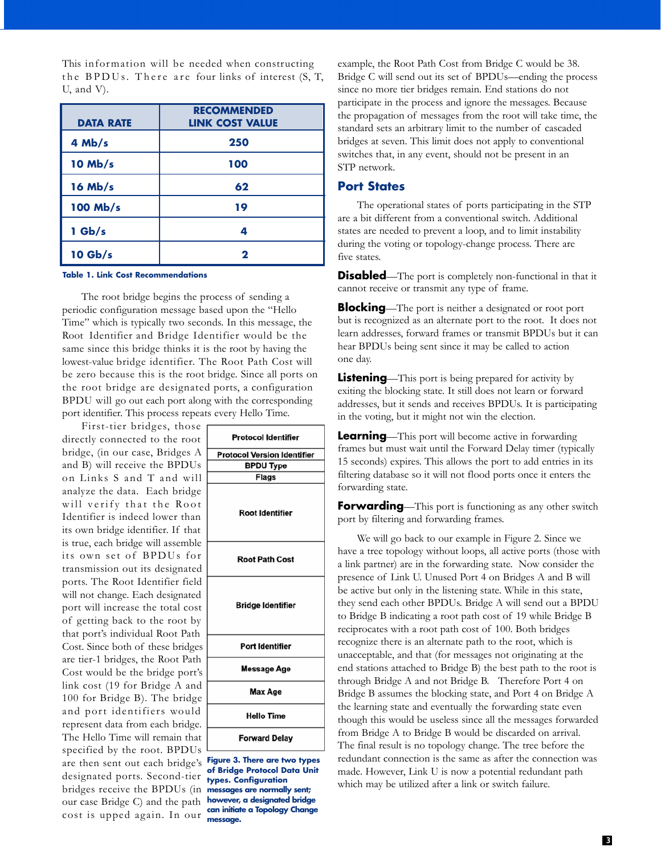This information will be needed when constructing the BPDUs. There are four links of interest  $(S, T, T)$ U, and V).

| <b>DATA RATE</b> | <b>RECOMMENDED</b><br><b>LINK COST VALUE</b> |
|------------------|----------------------------------------------|
| $4$ Mb/s         | 250                                          |
| $10$ Mb/s        | 100                                          |
| $16$ Mb/s        | 62                                           |
| 100 Mb/s         | 19                                           |
| $1$ Gb/s         | 4                                            |
| $10$ Gb/s        | 2                                            |

#### **Table 1. Link Cost Recommendations**

The root bridge begins the process of sending a periodic configuration message based upon the "Hello Time" which is typically two seconds. In this message, the Root Identifier and Bridge Identifier would be the same since this bridge thinks it is the root by having the lowest-value bridge identifier. The Root Path Cost will be zero because this is the root bridge. Since all ports on the root bridge are designated ports, a configuration BPDU will go out each port along with the corresponding port identifier. This process repeats every Hello Time.

First-tier bridges, those directly connected to the root bridge, (in our case, Bridges A and B) will receive the BPDUs on Links S and T and will analyze the data. Each bridge will verify that the Root Identifier is indeed lower than its own bridge identifier. If that is true, each bridge will assemble its own set of BPDUs for transmission out its designated ports. The Root Identifier field will not change. Each designated port will increase the total cost of getting back to the root by that port's individual Root Path Cost. Since both of these bridges are tier-1 bridges, the Root Path Cost would be the bridge port's link cost (19 for Bridge A and 100 for Bridge B). The bridge and port identifiers would represent data from each bridge. The Hello Time will remain that specified by the root. BPDUs are then sent out each bridge's **Figure 3. There are two types**  designated ports. Second-tier **types. Configuration** bridges receive the BPDUs (in **messages are normally sent;**  our case Bridge C) and the path **however, a designated bridge can initiate a Topology Change** cost is upped ag ain. In our **message.** 

| <b>Protocol Identifier</b>                                             |  |
|------------------------------------------------------------------------|--|
| <b>Protocol Version Identifier</b>                                     |  |
| <b>BPDU Type</b>                                                       |  |
| <b>Flags</b>                                                           |  |
| Root Identifier                                                        |  |
| <b>Root Path Cost</b>                                                  |  |
| <b>Bridge Identifier</b>                                               |  |
| <b>Port Identifier</b>                                                 |  |
| Message Age                                                            |  |
| Max Age                                                                |  |
| <b>Hello Time</b>                                                      |  |
| <b>Forward Delay</b>                                                   |  |
| igure 3. There are two types<br>$\mathbf{r}$ , and $\mathbf{r}$<br>. . |  |

example, the Root Path Cost from Bridge C would be 38. Bridge C will send out its set of BPDUs—ending the process since no more tier bridges remain. End stations do not participate in the process and ignore the messages. Because the propagation of messages from the root will take time, the standard sets an arbitrary limit to the number of cascaded bridges at seven. This limit does not apply to conventional switches that, in any event, should not be present in an STP network.

#### **Port States**

The operational states of ports participating in the STP are a bit different from a conventional switch. Additional states are needed to prevent a loop, and to limit instability during the voting or topology-change process. There are five states.

**Disabled**—The port is completely non-functional in that it cannot receive or transmit any type of frame.

**Blocking**—The port is neither a designated or root port but is recognized as an alternate port to the root. It does not learn addresses, forward frames or transmit BPDUs but it can hear BPDUs being sent since it may be called to action one day.

**Listening**—This port is being prepared for activity by exiting the blocking state. It still does not learn or forward addresses, but it sends and receives BPDUs. It is participating in the voting, but it might not win the election.

**Learning**—This port will become active in forwarding frames but must wait until the Forward Delay timer (typically 15 seconds) expires. This allows the port to add entries in its filtering database so it will not flood ports once it enters the forwarding state.

**Forwarding**—This port is functioning as any other switch port by filtering and forwarding frames.

We will go back to our example in Figure 2. Since we have a tree topology without loops, all active ports (those with a link partner) are in the forwarding state. Now consider the presence of Link U. Unused Port 4 on Bridges A and B will be active but only in the listening state. While in this state, they send each other BPDUs. Bridge A will send out a BPDU to Bridge B indicating a root path cost of 19 while Bridge B reciprocates with a root path cost of 100. Both bridges recognize there is an alternate path to the root, which is unacceptable, and that (for messages not originating at the end stations attached to Bridge B) the best path to the root is through Bridge A and not Bridge B. Therefore Port 4 on Bridge B assumes the blocking state, and Port 4 on Bridge A the learning state and eventually the forwarding state even though this would be useless since all the messages forwarded from Bridge A to Bridge B would be discarded on arrival. The final result is no topology change. The tree before the redundant connection is the same as after the connection was made. However, Link U is now a potential redundant path which may be utilized after a link or switch failure.